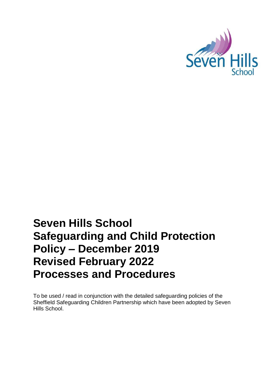

# **Seven Hills School Safeguarding and Child Protection Policy – December 2019 Revised February 2022 Processes and Procedures**

To be used / read in conjunction with the detailed safeguarding policies of the Sheffield Safeguarding Children Partnership which have been adopted by Seven Hills School.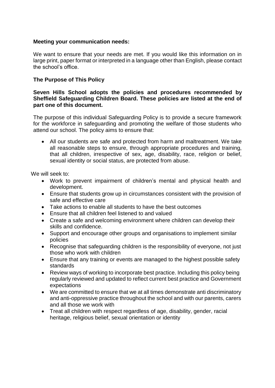#### **Meeting your communication needs:**

We want to ensure that your needs are met. If you would like this information on in large print, paper format or interpreted in a language other than English, please contact the school's office.

#### **The Purpose of This Policy**

#### **Seven Hills School adopts the policies and procedures recommended by Sheffield Safeguarding Children Board. These policies are listed at the end of part one of this document.**

The purpose of this individual Safeguarding Policy is to provide a secure framework for the workforce in safeguarding and promoting the welfare of those students who attend our school. The policy aims to ensure that:

 All our students are safe and protected from harm and maltreatment. We take all reasonable steps to ensure, through appropriate procedures and training, that all children, irrespective of sex, age, disability, race, religion or belief, sexual identity or social status, are protected from abuse.

We will seek to:

- Work to prevent impairment of children's mental and physical health and development.
- Ensure that students grow up in circumstances consistent with the provision of safe and effective care
- Take actions to enable all students to have the best outcomes
- Ensure that all children feel listened to and valued
- Create a safe and welcoming environment where children can develop their skills and confidence.
- Support and encourage other groups and organisations to implement similar policies
- Recognise that safeguarding children is the responsibility of everyone, not just those who work with children
- Ensure that any training or events are managed to the highest possible safety standards
- Review ways of working to incorporate best practice. Including this policy being regularly reviewed and updated to reflect current best practice and Government expectations
- We are committed to ensure that we at all times demonstrate anti discriminatory and anti-oppressive practice throughout the school and with our parents, carers and all those we work with
- Treat all children with respect regardless of age, disability, gender, racial heritage, religious belief, sexual orientation or identity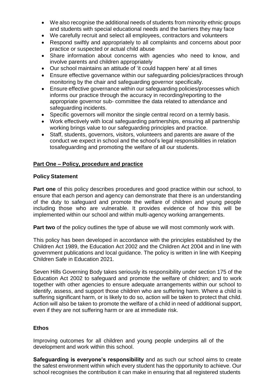- We also recognise the additional needs of students from minority ethnic groups and students with special educational needs and the barriers they may face
- We carefully recruit and select all employees, contractors and volunteers
- Respond swiftly and appropriately to all complaints and concerns about poor practice or suspected or actual child abuse
- Share information about concerns with agencies who need to know, and involve parents and children appropriately
- Our school maintains an attitude of 'it could happen here' at all times
- Ensure effective governance within our safeguarding policies/practices through monitoring by the chair and safeguarding governor specifically.
- Ensure effective governance within our safeguarding policies/processes which informs our practice through the accuracy in recording/reporting to the appropriate governor sub- committee the data related to attendance and safeguarding incidents.
- Specific governors will monitor the single central record on a termly basis.
- Work effectively with local safeguarding partnerships, ensuring all partnership working brings value to our safeguarding principles and practice.
- Staff, students, governors, visitors, volunteers and parents are aware of the conduct we expect in school and the school's legal responsibilities in relation tosafeguarding and promoting the welfare of all our students.

#### **Part One – Policy, procedure and practice**

#### **Policy Statement**

**Part one** of this policy describes procedures and good practice within our school, to ensure that each person and agency can demonstrate that there is an understanding of the duty to safeguard and promote the welfare of children and young people including those who are vulnerable. It provides evidence of how this will be implemented within our school and within multi-agency working arrangements.

**Part two** of the policy outlines the type of abuse we will most commonly work with.

This policy has been developed in accordance with the principles established by the Children Act 1989, the Education Act 2002 and the Children Act 2004 and in line with government publications and local guidance. The policy is written in line with Keeping Children Safe in Education 2021.

Seven Hills Governing Body takes seriously its responsibility under section 175 of the Education Act 2002 to safeguard and promote the welfare of children; and to work together with other agencies to ensure adequate arrangements within our school to identify, assess, and support those children who are suffering harm. Where a child is suffering significant harm, or is likely to do so, action will be taken to protect that child. Action will also be taken to promote the welfare of a child in need of additional support, even if they are not suffering harm or are at immediate risk.

#### **Ethos**

Improving outcomes for all children and young people underpins all of the development and work within this school.

**Safeguarding is everyone's responsibility** and as such our school aims to create the safest environment within which every student has the opportunity to achieve. Our school recognises the contribution it can make in ensuring that all registered students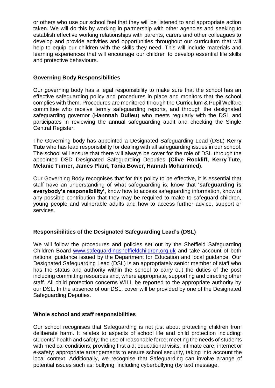or others who use our school feel that they will be listened to and appropriate action taken. We will do this by working in partnership with other agencies and seeking to establish effective working relationships with parents, carers and other colleagues to develop and provide activities and opportunities throughout our curriculum that will help to equip our children with the skills they need. This will include materials and learning experiences that will encourage our children to develop essential life skills and protective behaviours.

#### **Governing Body Responsibilities**

Our governing body has a legal responsibility to make sure that the school has an effective safeguarding policy and procedures in place and monitors that the school complies with them. Procedures are monitored through the Curriculum & Pupil Welfare committee who receive termly safeguarding reports, and through the designated safeguarding governor (**Hannnah Dulieu**) who meets regularly with the DSL and participates in reviewing the annual safeguarding audit and checking the Single Central Register.

The Governing body has appointed a Designated Safeguarding Lead (DSL) **Kerry Tute** who has lead responsibility for dealing with all safeguarding issues in our school. The school will ensure that there will always be cover for the role of DSL through the appointed DSD Designated Safeguarding Deputies **(Clive Rockliff, Kerry Tute, Melanie Turner, James Plant, Tania Bower, Hannah Mohammed**).

Our Governing Body recognises that for this policy to be effective, it is essential that staff have an understanding of what safeguarding is, know that '**safeguarding is everybody's responsibility'**, know how to access safeguarding information, know of any possible contribution that they may be required to make to safeguard children, young people and vulnerable adults and how to access further advice, support or services.

# **Responsibilities of the Designated Safeguarding Lead's (DSL)**

We will follow the procedures and policies set out by the Sheffield Safeguarding Children Board [www.safeguardingsheffieldchildren.org.uk](http://www.safeguardingsheffieldchildren.org.uk/) and take account of both national guidance issued by the Department for Education and local guidance. Our Designated Safeguarding Lead (DSL) is an appropriately senior member of staff who has the status and authority within the school to carry out the duties of the post including committing resources and, where appropriate, supporting and directing other staff. All child protection concerns WILL be reported to the appropriate authority by our DSL. In the absence of our DSL, cover will be provided by one of the Designated Safeguarding Deputies.

#### **Whole school and staff responsibilities**

Our school recognises that Safeguarding is not just about protecting children from deliberate harm. It relates to aspects of school life and child protection including: students' health and safety; the use of reasonable force; meeting the needs of students with medical conditions; providing first aid; educational visits; intimate care; internet or e-safety; appropriate arrangements to ensure school security, taking into account the local context. Additionally, we recognise that Safeguarding can involve arange of potential issues such as: bullying, including cyberbullying (by text message,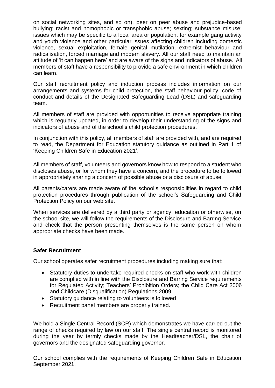on social networking sites, and so on), peer on peer abuse and prejudice-based bullying; racist and homophobic or transphobic abuse; sexting; substance misuse; issues which may be specific to a local area or population, for example gang activity and youth violence and other particular issues affecting children including domestic violence, sexual exploitation, female genital mutilation, extremist behaviour and radicalisation, forced marriage and modern slavery. All our staff need to maintain an attitude of 'it can happen here' and are aware of the signs and indicators of abuse. All members of staff have a responsibility to provide a safe environment in which children can learn.

Our staff recruitment policy and induction process includes information on our arrangements and systems for child protection, the staff behaviour policy, code of conduct and details of the Designated Safeguarding Lead (DSL) and safeguarding team.

All members of staff are provided with opportunities to receive appropriate training which is regularly updated, in order to develop their understanding of the signs and indicators of abuse and of the school's child protection procedures.

In conjunction with this policy, all members of staff are provided with, and are required to read, the Department for Education statutory guidance as outlined in Part 1 of 'Keeping Children Safe in Education 2021'.

All members of staff, volunteers and governors know how to respond to a student who discloses abuse, or for whom they have a concern, and the procedure to be followed in appropriately sharing a concern of possible abuse or a disclosure of abuse.

All parents/carers are made aware of the school's responsibilities in regard to child protection procedures through publication of the school's Safeguarding and Child Protection Policy on our web site.

When services are delivered by a third party or agency, education or otherwise, on the school site, we will follow the requirements of the Disclosure and Barring Service and check that the person presenting themselves is the same person on whom appropriate checks have been made.

#### **Safer Recruitment**

Our school operates safer recruitment procedures including making sure that:

- Statutory duties to undertake required checks on staff who work with children are complied with in line with the Disclosure and Barring Service requirements for Regulated Activity; Teachers' Prohibition Orders; the Child Care Act 2006 and Childcare (Disqualification) Regulations 2009
- Statutory guidance relating to volunteers is followed
- Recruitment panel members are properly trained.

We hold a Single Central Record (SCR) which demonstrates we have carried out the range of checks required by law on our staff. The single central record is monitored during the year by termly checks made by the Headteacher/DSL, the chair of governors and the designated safeguarding governor.

Our school complies with the requirements of Keeping Children Safe in Education September 2021.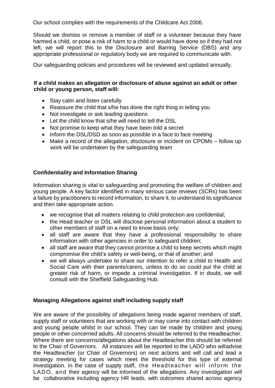Our school complies with the requirements of the Childcare Act 2006.

Should we dismiss or remove a member of staff or a volunteer because they have harmed a child, or pose a risk of harm to a child or would have done so if they had not left, we will report this to the Disclosure and Barring Service (DBS) and any appropriate professional or regulatory body we are required to communicate with.

Our safeguarding policies and procedures will be reviewed and updated annually.

#### **If a child makes an allegation or disclosure of abuse against an adult or other child or young person, staff will:**

- Stay calm and listen carefully
- Reassure the child that s/he has done the right thing in telling you
- Not investigate or ask leading questions
- Let the child know that s/he will need to tell the DSL
- Not promise to keep what they have been told a secret
- Inform the DSL/DSD as soon as possible in a face to face meeting
- Make a record of the allegation, disclosure or incident on CPOMs follow up work will be undertaken by the safeguarding team

#### **Confidentiality and Information Sharing**

Information sharing is vital to safeguarding and promoting the welfare of children and young people. A key factor identified in many serious case reviews (SCRs) has been a failure by practitioners to record information, to share it, to understand its significance and then take appropriate action.

- we recognise that all matters relating to child protection are confidential;
- the Head teacher or DSL will disclose personal information about a student to other members of staff on a need to know basis only;
- all staff are aware that they have a professional responsibility to share information with other agencies in order to safeguard children;
- all staff are aware that they cannot promise a child to keep secrets which might compromise the child's safety or well-being, or that of another; and
- we will always undertake to share our intention to refer a child to Health and Social Care with their parents/carers, unless to do so could put the child at greater risk of harm, or impede a criminal investigation. If in doubt, we will consult with the Sheffield Safeguarding Hub.

# **Managing Allegations against staff including supply staff**

We are aware of the possibility of allegations being made against members of staff, supply staff or volunteers that are working with or may come into contact with children and young people whilst in our school. They can be made by children and young people or other concerned adults. All concerns should be referred to the Headteacher. Where there are concerns/allegations about the Headteacher this should be referred to the Chair of Governors. All instances will be reported to the LADO who will advise the Headteacher (or Chair of Governors) on next actions and will call and lead a strategy meeting for cases which meet the threshold for this type of external investigation. In the case of supply staff, the Headteacher will inform the LADO, and their agency will be informed of the allegations. Any investigation will be collaborative including agency HR leads, with outcomes shared across agency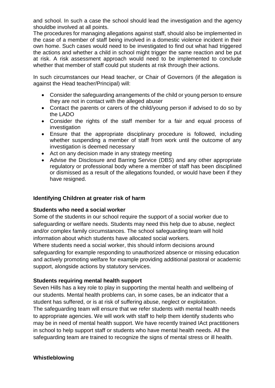and school. In such a case the school should lead the investigation and the agency shouldbe involved at all points.

The procedures for managing allegations against staff, should also be implemented in the case of a member of staff being involved in a domestic violence incident in their own home. Such cases would need to be investigated to find out what had triggered the actions and whether a child in school might trigger the same reaction and be put at risk. A risk assessment approach would need to be implemented to conclude whether that member of staff could put students at risk through their actions.

In such circumstances our Head teacher, or Chair of Governors (if the allegation is against the Head teacher/Principal) will:

- Consider the safeguarding arrangements of the child or young person to ensure they are not in contact with the alleged abuser
- Contact the parents or carers of the child/young person if advised to do so by the LADO
- Consider the rights of the staff member for a fair and equal process of investigation
- Ensure that the appropriate disciplinary procedure is followed, including whether suspending a member of staff from work until the outcome of any investigation is deemed necessary
- Act on any decision made in any strategy meeting
- Advise the Disclosure and Barring Service (DBS) and any other appropriate regulatory or professional body where a member of staff has been disciplined or dismissed as a result of the allegations founded, or would have been if they have resigned.

# **Identifying Children at greater risk of harm**

#### **Students who need a social worker**

Some of the students in our school require the support of a social worker due to safeguarding or welfare needs. Students may need this help due to abuse, neglect and/or complex family circumstances. The school safeguarding team will hold information about which students have allocated social workers.

Where students need a social worker, this should inform decisions around safeguarding for example responding to unauthorized absence or missing education and actively promoting welfare for example providing additional pastoral or academic support, alongside actions by statutory services.

#### **Students requiring mental health support**

Seven Hills has a key role to play in supporting the mental health and wellbeing of our students. Mental health problems can, in some cases, be an indicator that a student has suffered, or is at risk of suffering abuse, neglect or exploitation. The safeguarding team will ensure that we refer students with mental health needs to appropriate agencies. We will work with staff to help them identify students who may be in need of mental health support. We have recently trained IAct practitioners in school to help support staff or students who have mental health needs. All the safeguarding team are trained to recognize the signs of mental stress or ill health.

#### **Whistleblowing**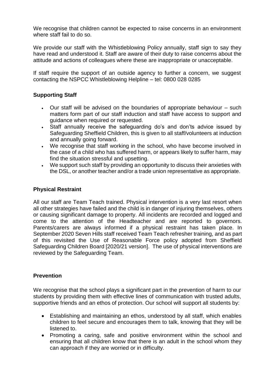We recognise that children cannot be expected to raise concerns in an environment where staff fail to do so.

We provide our staff with the Whistleblowing Policy annually, staff sign to say they have read and understood it. Staff are aware of their duty to raise concerns about the attitude and actions of colleagues where these are inappropriate or unacceptable.

If staff require the support of an outside agency to further a concern, we suggest contacting the NSPCC Whistleblowing Helpline – tel: 0800 028 0285

# **Supporting Staff**

- Our staff will be advised on the boundaries of appropriate behaviour such matters form part of our staff induction and staff have access to support and guidance when required or requested.
- Staff annually receive the safeguarding do's and don'ts advice issued by Safeguarding Sheffield Children, this is given to all staff/volunteers at induction and annually going forward.
- We recognise that staff working in the school, who have become involved in the case of a child who has suffered harm, or appears likely to suffer harm, may find the situation stressful and upsetting.
- We support such staff by providing an opportunity to discuss their anxieties with the DSL, or another teacher and/or a trade union representative as appropriate.

#### **Physical Restraint**

All our staff are Team Teach trained. Physical intervention is a very last resort when all other strategies have failed and the child is in danger of injuring themselves, others or causing significant damage to property. All incidents are recorded and logged and come to the attention of the Headteacher and are reported to governors. Parents/carers are always informed if a physical restraint has taken place. In September 2020 Seven Hills staff received Team Teach refresher training, and as part of this revisited the Use of Reasonable Force policy adopted from Sheffield Safeguarding Children Board [2020/21 version]. The use of physical interventions are reviewed by the Safeguarding Team.

#### **Prevention**

We recognise that the school plays a significant part in the prevention of harm to our students by providing them with effective lines of communication with trusted adults, supportive friends and an ethos of protection. Our school will support all students by:

- Establishing and maintaining an ethos, understood by all staff, which enables children to feel secure and encourages them to talk, knowing that they will be listened to.
- Promoting a caring, safe and positive environment within the school and ensuring that all children know that there is an adult in the school whom they can approach if they are worried or in difficulty.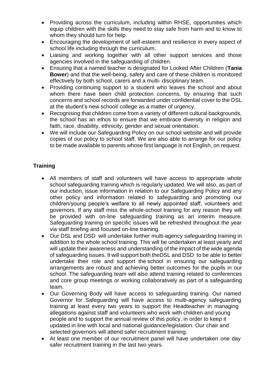- Providing across the curriculum, including within RHSE, opportunities which equip children with the skills they need to stay safe from harm and to know to whom they should turn for help.
- Encouraging the development of self-esteem and resilience in every aspect of school life including through the curriculum.
- Liaising and working together with all other support services and those agencies involved in the safeguarding of children.
- Ensuring that a named teacher is designated for Looked After Children (**Tania Bower**) and that the well-being, safety and care of these children is monitored effectively by both school, carers and a multi- disciplinary team.
- Providing continuing support to a student who leaves the school and about whom there have been child protection concerns, by ensuring that such concerns and school records are forwarded under confidential cover to the DSL at the student's new school/ college as a matter of urgency.
- Recognising that children come from a variety of different cultural backgrounds, the school has an ethos to ensure that we embrace diversity in religion and faith, race, disability, ethnicity, gender and sexual orientation.
- We will include our Safeguarding Policy on our school website and will provide copies of our policy to school staff. We are also able to arrange for our policy to be made available to parents whose first language is not English, on request.

# **Training**

- All members of staff and volunteers will have access to appropriate whole school safeguarding training which is regularly updated. We will also, as part of our induction, issue information in relation to our Safeguarding Policy and any other policy and information related to safeguarding and promoting our children/young people's welfare to all newly appointed staff, volunteers and governors. If any staff miss the whole-school training for any reason they will be provided with on-line safeguarding training as an interim measure. Safeguarding training on specific issues will be refreshed throughout the year via staff briefing and focused on-line training.
- Our DSL and DSD will undertake further multi-agency safeguarding training in addition to the whole school training. This will be undertaken at least yearly and will update their awareness and understanding of the impact of the wide agenda of safeguarding issues. It will support both theDSL and DSD to be able to better undertake their role and support the school in ensuring our safeguarding arrangements are robust and achieving better outcomes for the pupils in our school. The safeguarding team will also attend training related to conferences and core group meetings or working collaboratively as part of a safeguarding team.
- Our Governing Body will have access to safeguarding training. Our named Governor for Safeguarding will have access to multi-agency safeguarding training at least every two years to support the Headteacher in managing allegations against staff and volunteers who work with children and young people and to support the annual review of this policy, in order to keep it updated in line with local and national guidance/legislation. Our chair and selected governors will attend safer recruitment training.
- At least one member of our recruitment panel will have undertaken one day safer recruitment training in the last two years.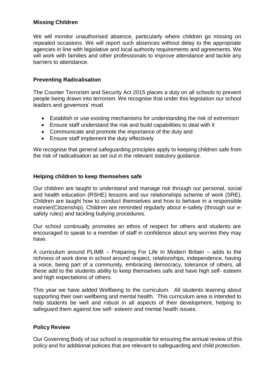#### **Missing Children**

We will monitor unauthorised absence, particularly where children go missing on repeated occasions. We will report such absences without delay to the appropriate agencies in line with legislative and local authority requirements and agreements. We will work with families and other professionals to improve attendance and tackle any barriers to attendance.

#### **Preventing Radicalisation**

The Counter Terrorism and Security Act 2015 places a duty on all schools to prevent people being drawn into terrorism. We recognise that under this legislation our school leaders and governors' must

- Establish or use existing mechanisms for understanding the risk of extremism
- Ensure staff understand the risk and build capabilities to deal with it
- Communicate and promote the importance of the duty and
- Ensure staff implement the duty effectively

We recognise that general safeguarding principles apply to keeping children safe from the risk of radicalisation as set out in the relevant statutory guidance.

#### **Helping children to keep themselves safe**

Our children are taught to understand and manage risk through our personal, social and health education (RSHE) lessons and our relationships scheme of work (SRE). Children are taught how to conduct themselves and how to behave in a responsible manner(Citizenship). Children are reminded regularly about e-safety (through our esafety rules) and tackling bullying procedures.

Our school continually promotes an ethos of respect for others and students are encouraged to speak to a member of staff in confidence about any worries they may have.

A curriculum around PLIMB – Preparing For Life In Modern Britain – adds to the richness of work done in school around respect, relationships, independence, having a voice, being part of a community, embracing democracy, tolerance of others, all these add to the students ability to keep themselves safe and have high self- esteem and high expectations of others.

This year we have added Wellbeing to the curriculum. All students learning about supporting their own wellbeing and mental health. This curriculum area is intended to help students be well and robust in all aspects of their development, helping to safeguard them against low self- esteem and mental health issues.

#### **Policy Review**

Our Governing Body of our school is responsible for ensuring the annual review of this policy and for additional policies that are relevant to safeguarding and child protection.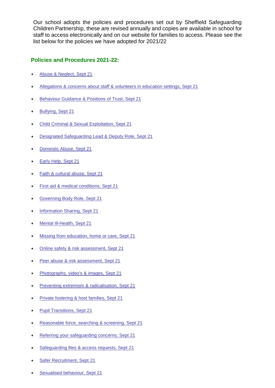Our school adopts the policies and procedures set out by Sheffield Safeguarding Children Partnership, these are revised annually and copies are available in school for staff to access electronically and on our website for families to access. Please see the list below for the policies we have adopted for 2021/22

#### **Policies and Procedures 2021-22:**

- [Abuse & Neglect, Sept 21](https://www.safeguardingsheffieldchildren.org/assets/1/abuse___neglect_sept_21.pdf)
- [Allegations & concerns about staff & volunteers in education settings, Sept 21](https://www.safeguardingsheffieldchildren.org/assets/1/allegations___concerns_about_staff___volunteers_sept_21.pdf)
- **[Behaviour Guidance & Positions of Trust, Sept 21](https://www.safeguardingsheffieldchildren.org/assets/1/behaviour_guidance___positions_of_trust_sept_21.pdf)**
- [Bullying, Sept 21](https://www.safeguardingsheffieldchildren.org/assets/1/bullying_sept_21.pdf)
- [Child Criminal & Sexual Exploitation, Sept 21](https://www.safeguardingsheffieldchildren.org/assets/1/child_criminal___sexual_exploitation_sept_21.pdf)
- [Designated Safeguarding Lead & Deputy Role, Sept 21](https://www.safeguardingsheffieldchildren.org/assets/1/designated_safeguarding_lead___deputy_role_sept_21.pdf)
- [Domestic Abuse, Sept 21](https://www.safeguardingsheffieldchildren.org/assets/1/domestic_abuse_sept_21.pdf)
- [Early Help, Sept 21](https://www.safeguardingsheffieldchildren.org/assets/1/early_help_sept_21.pdf)
- [Faith & cultural abuse, Sept 21](https://www.safeguardingsheffieldchildren.org/assets/1/faith___cultural_abuses_sept_21.pdf)
- [First aid & medical conditions, Sept 21](https://www.safeguardingsheffieldchildren.org/assets/1/first_aid___medical_conditions_sept_21.pdf)
- [Governing Body Role, Sept 21](https://www.safeguardingsheffieldchildren.org/assets/1/governing_body_role_sept_21.pdf)
- [Information Sharing, Sept 21](https://www.safeguardingsheffieldchildren.org/assets/1/information_sharing_sept_21.pdf)
- [Mental Ill-Health, Sept 21](https://www.safeguardingsheffieldchildren.org/assets/1/mental_ill-health_sept_21.pdf)
- $\bullet$  [Missing from education, home or care, Sept 21](https://www.safeguardingsheffieldchildren.org/assets/1/missing_from_education_home_or_care_sept_21.pdf)
- [Online safety & risk assessment, Sept 21](https://www.safeguardingsheffieldchildren.org/assets/1/online_safety___risk_assessment_sept_21.pdf)
- [Peer abuse & risk assessment, Sept 21](https://www.safeguardingsheffieldchildren.org/assets/1/peer_abuse___risk_assessment_sept_21.pdf)
- [Photographs, video's & images, Sept 21](https://www.safeguardingsheffieldchildren.org/assets/1/photographs_video_s___images_sept_21.pdf)
- [Preventing extremism & radicalisation, Sept 21](https://www.safeguardingsheffieldchildren.org/assets/1/preventing_extremism___radicalisation_sept_21.pdf)
- [Private fostering & host families, Sept 21](https://www.safeguardingsheffieldchildren.org/assets/1/private_fostering___host_families_sept_21.pdf)
- [Pupil Transitions, Sept 21](https://www.safeguardingsheffieldchildren.org/assets/1/pupil_transitions_sept_21.pdf)
- [Reasonable force, searching & screening, Sept 21](https://www.safeguardingsheffieldchildren.org/assets/1/reasonable_force_searching___screening_sept_21.pdf)
- [Referring your safeguarding concerns, Sept 21](https://www.safeguardingsheffieldchildren.org/assets/1/referring_your_safeguarding_concerns_sept_21.pdf)
- [Safeguarding files & access requests, Sept 21](https://www.safeguardingsheffieldchildren.org/assets/1/safeguarding_files___access_requests_sept_21.pdf)
- [Safer Recruitment, Sept 21](https://www.safeguardingsheffieldchildren.org/assets/1/safer_recruitment_sept_21.pdf)
- [Sexualised behaviour, Sept 21](https://www.safeguardingsheffieldchildren.org/assets/1/sexualised_behaviour_sept_21.pdf)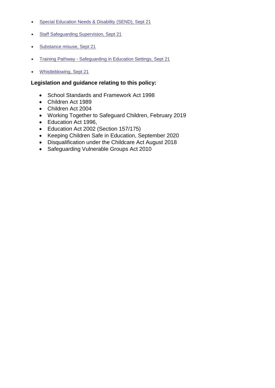- [Special Education Needs & Disability \(SEND\), Sept 21](https://www.safeguardingsheffieldchildren.org/assets/1/special_education_needs___disability_send_sept_21.pdf)
- [Staff Safeguarding Supervision, Sept 21](https://www.safeguardingsheffieldchildren.org/assets/1/staff_safeguarding_supervision_sept_21.pdf)
- [Substance misuse, Sept 21](https://www.safeguardingsheffieldchildren.org/assets/1/substance_misuse_sept_21.pdf)
- Training Pathway [Safeguarding in Education Settings, Sept 21](https://www.safeguardingsheffieldchildren.org/assets/1/training_pathway_-_education_settings_sept_21.pdf)
- [Whistleblowing, Sept 21](https://www.safeguardingsheffieldchildren.org/assets/1/whistleblowing_sept_21.pdf)

#### **Legislation and guidance relating to this policy:**

- School Standards and Framework Act 1998
- Children Act 1989
- Children Act 2004
- Working Together to Safeguard Children, February 2019
- Education Act 1996,
- Education Act 2002 (Section 157/175)
- Keeping Children Safe in Education, September 2020
- Disqualification under the Childcare Act August 2018
- Safeguarding Vulnerable Groups Act 2010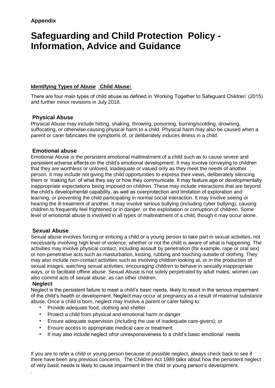# **Safeguarding and Child Protection Policy - Information, Advice and Guidance**

#### **Identifying Types of Abuse Child Abuse:**

There are four main types of child abuse as defined in 'Working Together to Safeguard Children' (2015) and further minor revisions in July 2018.

#### **Physical Abuse**

Physical Abuse may include hitting, shaking, throwing, poisoning, burning/scolding, drowning, suffocating, or otherwise causing physical harm to a child. Physical harm may also be caused when a parent or carer fabricates the symptoms of, or deliberately induces illness in a child.

#### **Emotional abuse**

Emotional Abuse is the persistent emotional maltreatment of a child such as to cause severe and persistent adverse effects on the child's emotional development. It may involve conveying to children that they are worthless or unloved, inadequate or valued only as they meet the needs of another person. It may include not giving the child opportunities to express their views, deliberately silencing them or 'making fun' of what they say or how they communicate. It may feature age or developmentally inappropriate expectations being imposed on children. These may include interactions that are beyond the child's developmental capability, as well as overprotection and limitation of exploration and learning, or preventing the child participating in normal social interaction. It may involve seeing or hearing the ill-treatment of another. It may involve serious bullying (including cyber bullying), causing children to frequently feel frightened or in danger, or the exploitation or corruption of children. Some level of emotional abuse is involved in all types of maltreatment of a child, though it may occur alone.

#### **Sexual Abuse**

Sexual abuse involves forcing or enticing a child or a young person to take part in sexual activities, not necessarily involving high level of violence, whether or not the child is aware of what is happening. The activities may involve physical contact, including assault by penetration (for example, rape or oral sex) or non-penetrative acts such as masturbation, kissing, rubbing and touching outside of clothing. They may also include non-contact activities such as involving children looking at, or in the production of sexual images, watching sexual activities, encouraging children to behave in sexually inappropriate ways, or to facilitate offline abuse. Sexual Abuse is not solely perpetrated by adult males; women can also commit acts of sexual abuse, as can other children.

#### **Neglect**

.

Neglect is the persistent failure to meet a child's basic needs, likely to result in the serious impairment of the child's health or development. Neglect may occur at pregnancy as a result of maternal substance abuse. Once a child is born, neglect may involve a parent or carer failing to:

- Provide adequate food, clothing and shelter
- Protect a child from physical and emotional harm or danger
- Ensure adequate supervision (including the use of inadequate care-givers); or
- Ensure access to appropriate medical care or treatment
- It may also include neglect of/or unresponsiveness to a child's basic emotional needs

If you are to refer a child or young person because of possible neglect, always check back to see if there have been any previous concerns. The Children Act 1989 talks about how the persistent neglect of very basic needs is likely to cause impairment in the child or young person's development.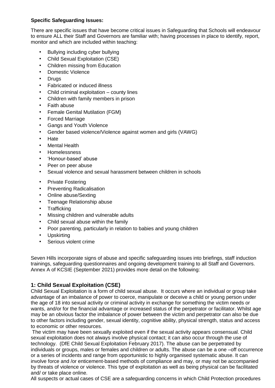#### **Specific Safeguarding Issues:**

There are specific issues that have become critical issues in Safeguarding that Schools will endeavour to ensure ALL their Staff and Governors are familiar with; having processes in place to identify, report, monitor and which are included within teaching:

- Bullying including cyber bullying
- Child Sexual Exploitation (CSE)
- Children missing from Education
- Domestic Violence
- Drugs
- Fabricated or induced illness
- Child criminal exploitation county lines
- Children with family members in prison
- Faith abuse
- Female Genital Mutilation (FGM)
- Forced Marriage
- Gangs and Youth Violence
- Gender based violence/Violence against women and girls (VAWG)
- **Hate**
- Mental Health
- Homelessness
- 'Honour-based' abuse
- Peer on peer abuse
- Sexual violence and sexual harassment between children in schools
- Private Fostering
- Preventing Radicalisation
- Online abuse/Sexting
- Teenage Relationship abuse
- **Trafficking**
- Missing children and vulnerable adults
- Child sexual abuse within the family
- Poor parenting, particularly in relation to babies and young children
- **Upskirting**
- Serious violent crime

Seven Hills incorporate signs of abuse and specific safeguarding issues into briefings, staff induction trainings, safeguarding questionnaires and ongoing development training to all Staff and Governors. Annex A of KCSIE (September 2021) provides more detail on the following:

#### **1: Child Sexual Exploitation (CSE)**

Child Sexual Exploitation is a form of child sexual abuse. It occurs where an individual or group take advantage of an imbalance of power to coerce, manipulate or deceive a child or young person under the age of 18 into sexual activity or criminal activity in exchange for something the victim needs or wants, and/or for the financial advantage or increased status of the perpetrator or facilitator. Whilst age may be an obvious factor the imbalance of power between the victim and perpetrator can also be due to other factors including gender, sexual identity, cognitive ability, physical strength, status and access to economic or other resources.

The victim may have been sexually exploited even if the sexual activity appears consensual. Child sexual exploitation does not always involve physical contact; it can also occur through the use of technology. (DfE Child Sexual Exploitation February 2017). The abuse can be perpetrated by individuals or groups, males or females and children or adults. The abuse can be a one –off occurrence or a series of incidents and range from opportunistic to highly organised systematic abuse. It can involve force and /or enticement-based methods of compliance and may, or may not be accompanied by threats of violence or violence. This type of exploitation as well as being physical can be facilitated and/ or take place online.

All suspects or actual cases of CSE are a safeguarding concerns in which Child Protection procedures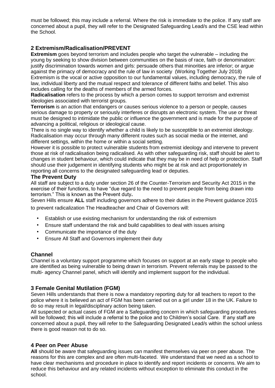must be followed; this may include a referral. Where the risk is immediate to the police. If any staff are concerned about a pupil, they will refer to the Designated Safeguarding Lead/s and the CSE lead within the School.

#### **2 Extremism/Radicalisation/PREVENT**

**Extremism** goes beyond terrorism and includes people who target the vulnerable – including the young by seeking to show division between communities on the basis of race, faith or denomination: justify discrimination towards women and girls: persuade others that minorities are inferior; or argue against the primacy of democracy and the rule of law in society (Working Together July 2018) Extremism is the vocal or active opposition to our fundamental values, including democracy, the rule of law, individual liberty and the mutual respect and tolerance of different faiths and belief. This also includes calling for the deaths of members of the armed forces.

**Radicalisation** refers to the process by which a person comes to support terrorism and extremist ideologies associated with terrorist groups.

**Terrorism** is an action that endangers or causes serious violence to a person or people, causes serious damage to property or seriously interferes or disrupts an electronic system. The use or threat must be designed to intimidate the public or influence the government and is made for the purpose of advancing a political, religious or ideological cause.

There is no single way to identify whether a child is likely to be susceptible to an extremist ideology. Radicalisation may occur through many different routes such as social media or the internet, and different settings, within the home or within a social setting.

However it is possible to protect vulnerable students from extremist ideology and intervene to prevent those at risk of radicalisation being radicalised. As with other safeguarding risk, staff should be alert to changes in student behaviour, which could indicate that they may be in need of help or protection. Staff should use their judgement in identifying students who might be at risk and act proportionately in reporting all concerns to the designated safeguarding lead or deputies.

#### **The Prevent Duty**

All staff are subject to a duty under section 26 of the Counter-Terrorism and Security Act 2015 in the exercise of their functions, to have "due regard to the need to prevent people from being drawn into terrorism." This is known as the Prevent duty**.** 

Seven Hills ensure **ALL** staff including governors adhere to their duties in the Prevent guidance 2015 to prevent radicalization The Headteacher and Chair of Governors will:

- Establish or use existing mechanism for understanding the risk of extremism
- Ensure staff understand the risk and build capabilities to deal with issues arising
- Communicate the importance of the duty
- Ensure All Staff and Governors implement their duty

#### **Channel**

Channel is a voluntary support programme which focuses on support at an early stage to people who are identified as being vulnerable to being drawn in terrorism. Prevent referrals may be passed to the multi- agency Channel panel, which will identify and implement support for the individual.

#### **3 Female Genital Mutilation (FGM)**

Seven Hills understands that there is now a mandatory reporting duty for all teachers to report to the police where it is believed an act of FGM has been carried out on a girl under 18 in the UK. Failure to do so may result in legal/disciplinary action being taken.

All suspected or actual cases of FGM are a Safeguarding concern in which safeguarding procedures will be followed; this will include a referral to the police and to Children's social Care. If any staff are concerned about a pupil, they will refer to the Safeguarding Designated Lead/s within the school unless there is good reason not to do so.

#### **4 Peer on Peer Abuse**

**All** should be aware that safeguarding issues can manifest themselves via peer on peer abuse. The reasons for this are complex and are often multi-faceted. We understand that we need as a school to have clear mechanisms and procedure in place to identify and report incidents or concerns. We aim to reduce this behaviour and any related incidents without exception to eliminate this conduct in the school.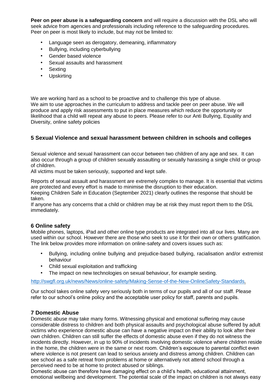**Peer on peer abuse is a safeguarding concern** and will require a discussion with the DSL who will seek advice from agencies and professionals including reference to the safeguarding procedures. Peer on peer is most likely to include, but may not be limited to:

- Language seen as derogatory, demeaning, inflammatory
- Bullying, including cyberbullying
- Gender based violence
- Sexual assaults and harassment
- **Sexting**
- Upskirting

We are working hard as a school to be proactive and to challenge this type of abuse. We aim to use approaches in the curriculum to address and tackle peer on peer abuse. We will produce and apply risk assessments to put in place measures which reduce the opportunity or likelihood that a child will repeat any abuse to peers. Please refer to our Anti Bullying, Equality and Diversity, online safety policies

#### **5 Sexual Violence and sexual harassment between children in schools and colleges**

Sexual violence and sexual harassment can occur between two children of any age and sex. It can also occur through a group of children sexually assaulting or sexually harassing a single child or group of children.

All victims must be taken seriously, supported and kept safe.

Reports of sexual assault and harassment are extremely complex to manage. It is essential that victims are protected and every effort is made to minimise the disruption to their education.

Keeping Children Safe in Education (September 2021) clearly outlines the response that should be taken.

If anyone has any concerns that a child or children may be at risk they must report them to the DSL immediately.

#### **6 Online safety**

Mobile phones, laptops, iPad and other online type products are integrated into all our lives. Many are used within our school. However there are those who seek to use it for their own or others gratification. The link below provides more information on online-safety and covers issues such as:

- Bullying, including online bullying and prejudice-based bullying, racialisation and/or extremist behaviour
- Child sexual exploitation and trafficking
- The impact on new technologies on sexual behaviour, for example sexting.

[http://swgfl.org.uk/news/News/online-safety/Making-Sense-of-the-New-OnlineSafety-Standards.](http://swgfl.org.uk/news/News/online-safety/Making-Sense-of-the-New-Online-Safety-Standards) 

Our school takes online safety very seriously both in terms of our pupils and all of our staff. Please refer to our school's online policy and the acceptable user policy for staff, parents and pupils.

#### **7 Domestic Abuse**

Domestic abuse may take many forms. Witnessing physical and emotional suffering may cause considerable distress to children and both physical assaults and psychological abuse suffered by adult victims who experience domestic abuse can have a negative impact on their ability to look after their own children. Children can still suffer the effects of domestic abuse even if they do not witness the incidents directly. However, in up to 90% of incidents involving domestic violence where children reside in the home, the children were in the same or next room. Children's exposure to parental conflict even where violence is not present can lead to serious anxiety and distress among children. Children can see school as a safe retreat from problems at home or alternatively not attend school through a perceived need to be at home to protect abused or siblings.

Domestic abuse can therefore have damaging effect on a child's health, educational attainment, emotional wellbeing and development. The potential scale of the impact on children is not always easy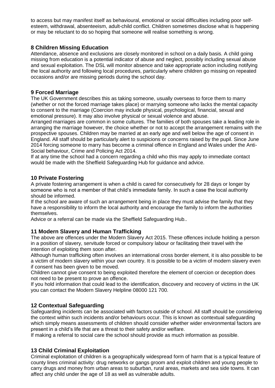to access but may manifest itself as behavioural, emotional or social difficulties including poor selfesteem, withdrawal, absenteeism, adult-child conflict. Children sometimes disclose what is happening or may be reluctant to do so hoping that someone will realise something is wrong.

#### **8 Children Missing Education**

Attendance, absence and exclusions are closely monitored in school on a daily basis. A child going missing from education is a potential indicator of abuse and neglect, possibly including sexual abuse and sexual exploitation. The DSL will monitor absence and take appropriate action including notifying the local authority and following local procedures, particularly where children go missing on repeated occasions and/or are missing periods during the school day.

#### **9 Forced Marriage**

The UK Government describes this as taking someone, usually overseas to force them to marry (whether or not the forced marriage takes place) or marrying someone who lacks the mental capacity to consent to the marriage (Coercion may include physical, psychological, financial, sexual and emotional pressure). It may also involve physical or sexual violence and abuse.

Arranged marriages are common in some cultures. The families of both spouses take a leading role in arranging the marriage however, the choice whether or not to accept the arrangement remains with the prospective spouses. Children may be married at an early age and well below the age of consent in England. All staff should be particularly alert to suspicions or concerns raised by the pupil. Since June 2014 forcing someone to marry has become a criminal offence in England and Wales under the Anti-Social behaviour, Crime and Policing Act 2014.

If at any time the school had a concern regarding a child who this may apply to immediate contact would be made with the Sheffield Safeguarding Hub for guidance and advice.

#### **10 Private Fostering**

A private fostering arrangement is when a child is cared for consecutively for 28 days or longer by someone who is not a member of that child's immediate family. In such a case the local authority should be informed.

If the school are aware of such an arrangement being in place they must advise the family that they have a responsibility to inform the local authority and encourage the family to inform the authorities themselves.

Advice or a referral can be made via the Sheffield Safeguarding Hub..

# **11 Modern Slavery and Human Trafficking**

The above are offences under the Modern Slavery Act 2015. These offences include holding a person in a position of slavery, servitude forced or compulsory labour or facilitating their travel with the intention of exploiting them soon after.

Although human trafficking often involves an international cross border element, it is also possible to be a victim of modern slavery within your own country. It is possible to be a victim of modern slavery even if consent has been given to be moved.

Children cannot give consent to being exploited therefore the element of coercion or deception does not need to be present to prove an offence.

If you hold information that could lead to the identification, discovery and recovery of victims in the UK you can contact the Modern Slavery Helpline 08000 121 700.

# **12 Contextual Safeguarding**

Safeguarding incidents can be associated with factors outside of school. All staff should be considering the context within such incidents and/or behaviours occur. This is known as contextual safeguarding which simply means assessments of children should consider whether wider environmental factors are present in a child's life that are a threat to their safety and/or welfare.

If making a referral to social care the school should provide as much information as possible.

# **13 Child Criminal Exploitation**

Criminal exploitation of children is a geographically widespread form of harm that is a typical feature of county lines criminal activity: drug networks or gangs groom and exploit children and young people to carry drugs and money from urban areas to suburban, rural areas, markets and sea side towns. It can affect any child under the age of 18 as well as vulnerable adults.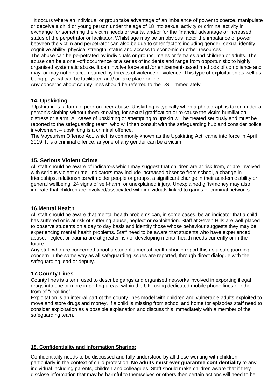It occurs where an individual or group take advantage of an imbalance of power to coerce, manipulate or deceive a child or young person under the age of 18 into sexual activity or criminal activity in exchange for something the victim needs or wants, and/or for the financial advantage or increased status of the perpetrator or facilitator. Whilst age may be an obvious factor the imbalance of power between the victim and perpetrator can also be due to other factors including gender, sexual identity, cognitive ability, physical strength, status and access to economic or other resources.

The abuse can be perpetrated by individuals or groups, males or females and children or adults. The abuse can be a one –off occurrence or a series of incidents and range from opportunistic to highly organised systematic abuse. It can involve force and /or enticement-based methods of compliance and may, or may not be accompanied by threats of violence or violence. This type of exploitation as well as being physical can be facilitated and/ or take place online.

Any concerns about county lines should be referred to the DSL immediately.

#### **14. Upskirting**

Upskirting is a form of peer-on-peer abuse. Upskirting is typically when a photograph is taken under a person's clothing without them knowing, for sexual gratification or to cause the victim humiliation, distress or alarm. All cases of upskirting or attempting to upskirt will be treated seriously and must be reported to the safeguarding team, who will then consult with the safeguarding hub and consider police involvement – upskirting is a criminal offence.

The Voyeurism Offence Act, which is commonly known as the Upskirting Act, came into force in April 2019. It is a criminal offence, anyone of any gender can be a victim.

#### **15. Serious Violent Crime**

All staff should be aware of indicators which may suggest that children are at risk from, or are involved with serious violent crime. Indicators may include increased absence from school, a change in friendships, relationships with older people or groups, a significant change in their academic ability or general wellbeing, 24 signs of self-harm, or unexplained injury. Unexplained gifts/money may also indicate that children are involved/associated with individuals linked to gangs or criminal networks.

#### **16.Mental Health**

All staff should be aware that mental health problems can, in some cases, be an indicator that a child has suffered or is at risk of suffering abuse, neglect or exploitation. Staff at Seven Hills are well placed to observe students on a day to day basis and identify those whose behaviour suggests they may be experiencing mental health problems. Staff need to be aware that students who have experienced abuse, neglect or trauma are at greater risk of developing mental health needs currently or in the future.

Any staff who are concerned about a student's mental health should report this as a safeguarding concern in the same way as all safeguarding issues are reported, through direct dialogue with the safeguarding lead or deputy.

#### **17.County Lines**

County lines is a term used to describe gangs and organised networks involved in exporting illegal drugs into one or more importing areas, within the UK, using dedicated mobile phone lines or other from of "deal line".

Exploitation is an integral part ot the county lines model with children and vulnerable adults exploited to move and store drugs and money. If a child is missing from school and home for episodes staff need to consider exploitation as a possible explanation and discuss this immediately with a member of the safeguarding team.

#### **18. Confidentiality and Information Sharing:**

Confidentiality needs to be discussed and fully understood by all those working with children, particularly in the context of child protection. **No adults must ever guarantee confidentiality** to any individual including parents, children and colleagues. Staff should make children aware that if they disclose information that may be harmful to themselves or others then certain actions will need to be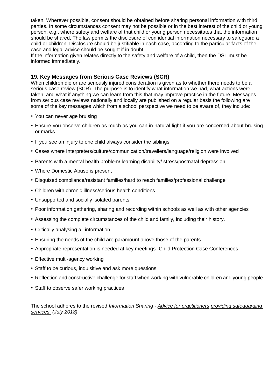taken. Wherever possible, consent should be obtained before sharing personal information with third parties. In some circumstances consent may not be possible or in the best interest of the child or young person, e.g., where safety and welfare of that child or young person necessitates that the information should be shared. The law permits the disclosure of confidential information necessary to safeguard a child or children. Disclosure should be justifiable in each case, according to the particular facts of the case and legal advice should be sought if in doubt.

If the information given relates directly to the safety and welfare of a child, then the DSL must be informed immediately.

#### **19. Key Messages from Serious Case Reviews (SCR)**

When children die or are seriously injured consideration is given as to whether there needs to be a serious case review (SCR). The purpose is to identify what information we had, what actions were taken, and what if anything we can learn from this that may improve practice in the future. Messages from serious case reviews nationally and locally are published on a regular basis the following are some of the key messages which from a school perspective we need to be aware of, they include:

- You can never age bruising
- Ensure you observe children as much as you can in natural light if you are concerned about bruising or marks
- If you see an injury to one child always consider the siblings
- Cases where Interpreters/culture/communication/travellers/language/religion were involved
- Parents with a mental health problem/ learning disability/ stress/postnatal depression
- Where Domestic Abuse is present
- Disguised compliance/resistant families/hard to reach families/professional challenge
- Children with chronic illness/serious health conditions
- Unsupported and socially isolated parents
- Poor information gathering, sharing and recording within schools as well as with other agencies
- Assessing the complete circumstances of the child and family, including their history.
- Critically analysing all information
- Ensuring the needs of the child are paramount above those of the parents
- Appropriate representation is needed at key meetings- Child Protection Case Conferences
- Effective multi-agency working
- Staff to be curious, inquisitive and ask more questions
- Reflection and constructive challenge for staff when working with vulnerable children and young people
- Staff to observe safer working practices

The school adheres to the revised *Information Sharing - Advice for practitioners providing safeguarding services (July 2018)*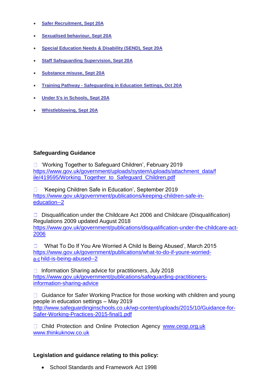- **Safer [Recruitment,](https://www.safeguardingsheffieldchildren.org/assets/1/safer_recruitment_sept_20a.pdf) Sept 20A**
- **[Sexualised](https://www.safeguardingsheffieldchildren.org/assets/1/sexualised_behaviour_sept_20a.pdf) behaviour, Sept 20A**
- **Special Education Needs & Disability [\(SEND\), Sept 20A](https://www.safeguardingsheffieldchildren.org/assets/1/special_education_needs___disability_send_sept_20a.pdf)**
- **Staff [Safeguarding Supervision,](https://www.safeguardingsheffieldchildren.org/assets/1/staff_safeguarding_supervision_sept_20a.pdf) Sept 20A**
- **[Substance](https://www.safeguardingsheffieldchildren.org/assets/1/substance_misuse_sept_20a.pdf) misuse, Sept 20A**
- **Training Pathway - [Safeguarding](https://www.safeguardingsheffieldchildren.org/assets/1/training_pathway_-_safeguarding_in_education_settings_oct_20a.pdf) in Education Settings, Oct 20A**
- **Under 5's in [Schools, Sept](https://www.safeguardingsheffieldchildren.org/assets/1/under_5_s_in_schools_sept_20a.pdf) 20A**
- **[Whistleblowing,](https://www.safeguardingsheffieldchildren.org/assets/1/whistleblowing_sept_20a.pdf) Sept 20A**

# **Safeguarding Guidance**

□ 'Working Together to Safeguard Children', February 2019 [https://www.gov.uk/government/uploads/system/uploads/attachment\\_data/f](https://www.gov.uk/government/uploads/system/uploads/attachment_data/file/419595/Working_Together_to_Safeguard_Children.pdf) [ile/419595/Working\\_Together\\_to\\_Safeguard\\_Children.pdf](https://www.gov.uk/government/uploads/system/uploads/attachment_data/file/419595/Working_Together_to_Safeguard_Children.pdf)

'Keeping Children Safe in Education', September 2019  $\Box$ [https://www.gov.uk/government/publications/keeping-children-safe-in](https://www.gov.uk/government/publications/keeping-children-safe-in-education--2)[education--2](https://www.gov.uk/government/publications/keeping-children-safe-in-education--2)

□ Disqualification under the Childcare Act 2006 and Childcare (Disqualification) Regulations 2009 updated August 2018 [https://www.gov.uk/government/publications/disqualification-under-the-childcare-act-](https://www.gov.uk/government/publications/disqualification-under-the-childcare-act-2006)[2006](https://www.gov.uk/government/publications/disqualification-under-the-childcare-act-2006)

'What To Do If You Are Worried A Child Is Being Abused', March 2015 [https://www.gov.uk/government/publications/what-to-do-if-youre-worried](https://www.gov.uk/government/publications/what-to-do-if-youre-worried-a-child-is-being-abused--2)a-c [hild-is-being-abused--2](https://www.gov.uk/government/publications/what-to-do-if-youre-worried-a-child-is-being-abused--2)

 $\Box$  Information Sharing advice for practitioners, July 2018 [https://www.gov.uk/government/publications/safeguarding-practitioners](https://www.gov.uk/government/publications/safeguarding-practitioners-information-sharing-advice)[information-sharing-advice](https://www.gov.uk/government/publications/safeguarding-practitioners-information-sharing-advice)

□ Guidance for Safer Working Practice for those working with children and young people in education settings – May 2019 [http://www.safeguardinginschools.co.uk/wp-content/uploads/2015/10/Guidance-for-](http://www.safeguardinginschools.co.uk/wp-content/uploads/2015/10/Guidance-for-Safer-Working-Practices-2015-final1.pdf)[Safer-Working-Practices-2015-final1.pdf](http://www.safeguardinginschools.co.uk/wp-content/uploads/2015/10/Guidance-for-Safer-Working-Practices-2015-final1.pdf)

□ Child Protection and Online Protection Agency [www.ceop.org.uk](http://www.ceop.org.uk/) [www.thinkuknow.co.uk](http://www.thinkuknow.co.uk/)

#### **Legislation and guidance relating to this policy:**

School Standards and Framework Act 1998